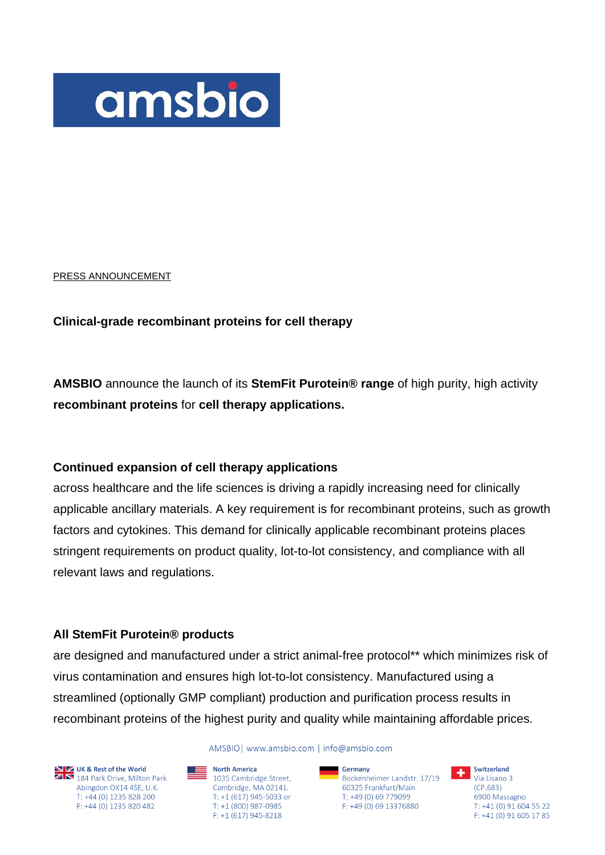

PRESS ANNOUNCEMENT

## **Clinical-grade recombinant proteins for cell therapy**

**AMSBIO** announce the launch of its **StemFit Purotein® range** of high purity, high activity **recombinant proteins** for **cell therapy applications.**

# **Continued expansion of cell therapy applications**

across healthcare and the life sciences is driving a rapidly increasing need for clinically applicable ancillary materials. A key requirement is for recombinant proteins, such as growth factors and cytokines. This demand for clinically applicable recombinant proteins places stringent requirements on product quality, lot-to-lot consistency, and compliance with all relevant laws and regulations.

## **All StemFit Purotein® products**

are designed and manufactured under a strict animal-free protocol\*\* which minimizes risk of virus contamination and ensures high lot-to-lot consistency. Manufactured using a streamlined (optionally GMP compliant) production and purification process results in recombinant proteins of the highest purity and quality while maintaining affordable prices.

**NIME UK & Rest of the World**<br>**2 N** 184 Park Drive, Milton Park Abingdon OX14 4SE, U.K. T: +44 (0) 1235 828 200 F: +44 (0) 1235 820 482

AMSBIOI www.amsbio.com | info@amsbio.com

North America  $\equiv$  1035 Cambridge Street, Cambridge, MA 02141. T: +1 (617) 945-5033 or T: +1 (800) 987-0985  $F: +1(617)945 - 8218$ 

Germany<br>Bockenheimer Landstr. 17/19 **The Switzerland** Germany 60325 Frankfurt/Main T: +49 (0) 69 779099 F: +49 (0) 69 13376880

 $(CP.683)$ 6900 Massagno T: +41 (0) 91 604 55 22 F: +41 (0) 91 605 17 85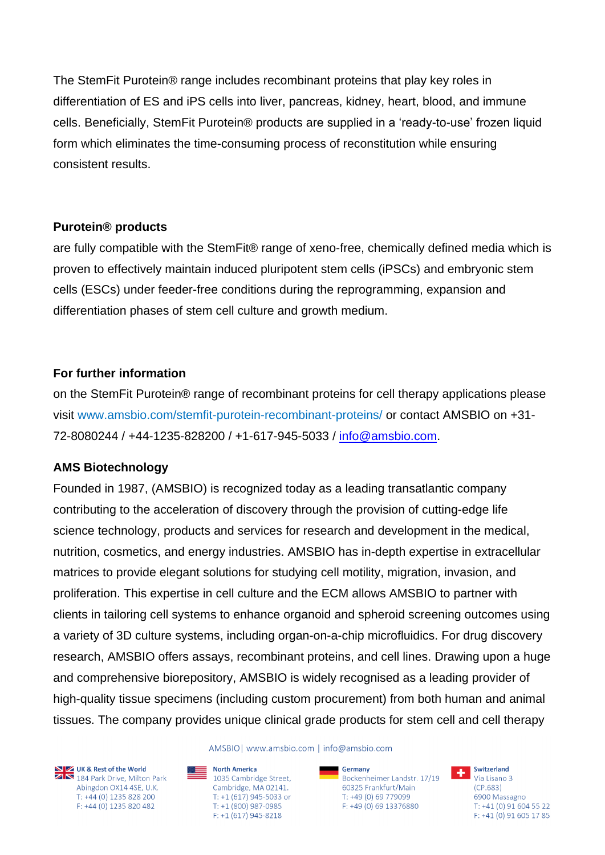The StemFit Purotein® range includes recombinant proteins that play key roles in differentiation of ES and iPS cells into liver, pancreas, kidney, heart, blood, and immune cells. Beneficially, StemFit Purotein® products are supplied in a 'ready-to-use' frozen liquid form which eliminates the time-consuming process of reconstitution while ensuring consistent results.

# **Purotein® products**

are fully compatible with the StemFit® range of xeno-free, chemically defined media which is proven to effectively maintain induced pluripotent stem cells (iPSCs) and embryonic stem cells (ESCs) under feeder-free conditions during the reprogramming, expansion and differentiation phases of stem cell culture and growth medium.

# **For further information**

on the StemFit Purotein® range of recombinant proteins for cell therapy applications please visit www.amsbio.com/stemfit-purotein-recombinant-proteins/ or contact AMSBIO on +31- 72-8080244 / +44-1235-828200 / +1-617-945-5033 / [info@amsbio.com.](mailto:info@amsbio.com)

# **AMS Biotechnology**

Founded in 1987, (AMSBIO) is recognized today as a leading transatlantic company contributing to the acceleration of discovery through the provision of cutting-edge life science technology, products and services for research and development in the medical, nutrition, cosmetics, and energy industries. AMSBIO has in-depth expertise in extracellular matrices to provide elegant solutions for studying cell motility, migration, invasion, and proliferation. This expertise in cell culture and the ECM allows AMSBIO to partner with clients in tailoring cell systems to enhance organoid and spheroid screening outcomes using a variety of 3D culture systems, including organ-on-a-chip microfluidics. For drug discovery research, AMSBIO offers assays, recombinant proteins, and cell lines. Drawing upon a huge and comprehensive biorepository, AMSBIO is widely recognised as a leading provider of high-quality tissue specimens (including custom procurement) from both human and animal tissues. The company provides unique clinical grade products for stem cell and cell therapy



**NIZ UK & Rest of the World**<br>**ZIN** 184 Park Drive, Milton Park Abingdon OX14 4SE, U.K. T: +44 (0) 1235 828 200 F: +44 (0) 1235 820 482

AMSBIOI www.amsbio.com | info@amsbio.com

North America<br>1035 Cambridge Street, Cambridge, MA 02141. T: +1 (617) 945-5033 or T: +1 (800) 987-0985  $F: +1(617)945 - 8218$ 

Germany Bockenheimer Landstr. 17/19 60325 Frankfurt/Main T: +49 (0) 69 779099 F: +49 (0) 69 13376880



6900 Massagno T: +41 (0) 91 604 55 22 F: +41 (0) 91 605 17 85